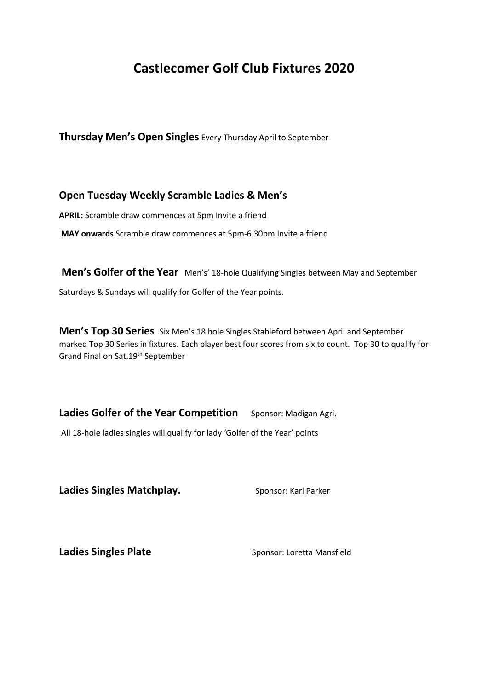# **Castlecomer Golf Club Fixtures 2020**

**Thursday Men's Open Singles** Every Thursday April to September

# **Open Tuesday Weekly Scramble Ladies & Men's**

**APRIL:** Scramble draw commences at 5pm Invite a friend

**MAY onwards** Scramble draw commences at 5pm‐6.30pm Invite a friend

**Men's Golfer of the Year** Men's' 18-hole Qualifying Singles between May and September Saturdays & Sundays will qualify for Golfer of the Year points.

**Men's Top 30 Series** Six Men's 18 hole Singles Stableford between April and September marked Top 30 Series in fixtures. Each player best four scores from six to count. Top 30 to qualify for Grand Final on Sat.19th September

Ladies Golfer of the Year Competition Sponsor: Madigan Agri.

All 18-hole ladies singles will qualify for lady 'Golfer of the Year' points

Ladies Singles Matchplay. Sponsor: Karl Parker

**Ladies Singles Plate Sponsor: Loretta Mansfield**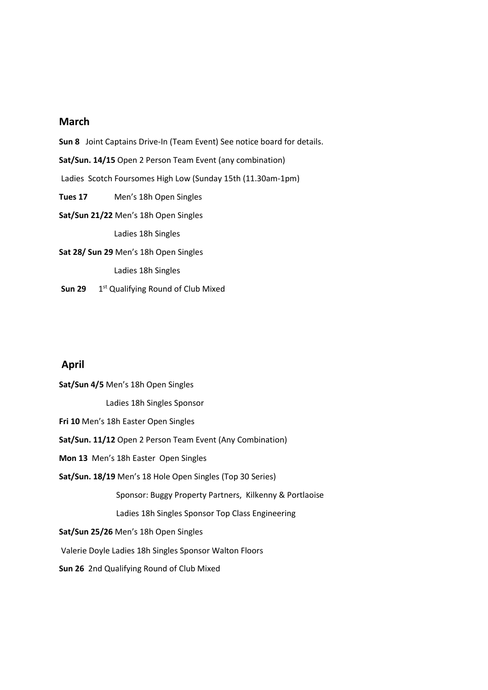## **March**

**Sun 8** Joint Captains Drive-In (Team Event) See notice board for details. **Sat/Sun. 14/15** Open 2 Person Team Event (any combination) Ladies Scotch Foursomes High Low (Sunday 15th (11.30am‐1pm) **Tues 17** Men's 18h Open Singles **Sat/Sun 21/22** Men's 18h Open Singles Ladies 18h Singles **Sat 28/ Sun 29** Men's 18h Open Singles Ladies 18h Singles

**Sun 29** 1<sup>st</sup> Qualifying Round of Club Mixed

## **April**

**Sat/Sun 4/5** Men's 18h Open Singles Ladies 18h Singles Sponsor **Fri 10** Men's 18h Easter Open Singles **Sat/Sun. 11/12** Open 2 Person Team Event (Any Combination) **Mon 13** Men's 18h Easter Open Singles **Sat/Sun. 18/19** Men's 18 Hole Open Singles (Top 30 Series) Sponsor: Buggy Property Partners, Kilkenny & Portlaoise Ladies 18h Singles Sponsor Top Class Engineering **Sat/Sun 25/26** Men's 18h Open Singles Valerie Doyle Ladies 18h Singles Sponsor Walton Floors **Sun 26** 2nd Qualifying Round of Club Mixed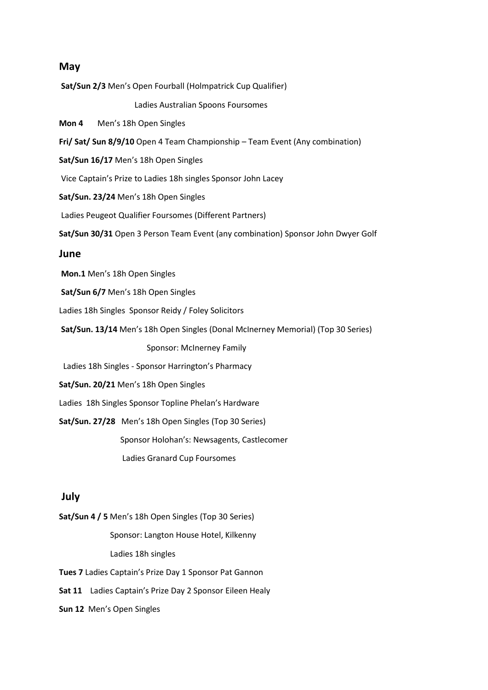#### **May**

**Sat/Sun 2/3** Men's Open Fourball (Holmpatrick Cup Qualifier)

Ladies Australian Spoons Foursomes

**Mon 4** Men's 18h Open Singles

**Fri/ Sat/ Sun 8/9/10** Open 4 Team Championship – Team Event (Any combination)

**Sat/Sun 16/17** Men's 18h Open Singles

Vice Captain's Prize to Ladies 18h singles Sponsor John Lacey

**Sat/Sun. 23/24** Men's 18h Open Singles

Ladies Peugeot Qualifier Foursomes (Different Partners)

**Sat/Sun 30/31** Open 3 Person Team Event (any combination) Sponsor John Dwyer Golf

#### **June**

**Mon.1** Men's 18h Open Singles

**Sat/Sun 6/7** Men's 18h Open Singles

Ladies 18h Singles Sponsor Reidy / Foley Solicitors

**Sat/Sun. 13/14** Men's 18h Open Singles (Donal McInerney Memorial) (Top 30 Series)

Sponsor: McInerney Family

Ladies 18h Singles ‐ Sponsor Harrington's Pharmacy

**Sat/Sun. 20/21** Men's 18h Open Singles

Ladies 18h Singles Sponsor Topline Phelan's Hardware

**Sat/Sun. 27/28** Men's 18h Open Singles (Top 30 Series)

Sponsor Holohan's: Newsagents, Castlecomer

Ladies Granard Cup Foursomes

### **July**

**Sat/Sun 4 / 5** Men's 18h Open Singles (Top 30 Series) Sponsor: Langton House Hotel, Kilkenny Ladies 18h singles

**Tues 7** Ladies Captain's Prize Day 1 Sponsor Pat Gannon

**Sat 11** Ladies Captain's Prize Day 2 Sponsor Eileen Healy

**Sun 12** Men's Open Singles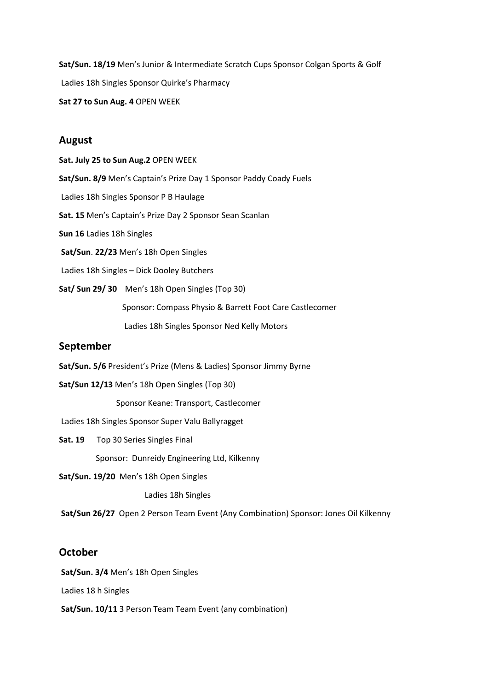**Sat/Sun. 18/19** Men's Junior & Intermediate Scratch Cups Sponsor Colgan Sports & Golf Ladies 18h Singles Sponsor Quirke's Pharmacy **Sat 27 to Sun Aug. 4** OPEN WEEK

#### **August**

**Sat. July 25 to Sun Aug.2** OPEN WEEK **Sat/Sun. 8/9** Men's Captain's Prize Day 1 Sponsor Paddy Coady Fuels Ladies 18h Singles Sponsor P B Haulage **Sat. 15** Men's Captain's Prize Day 2 Sponsor Sean Scanlan **Sun 16** Ladies 18h Singles **Sat/Sun**. **22/23** Men's 18h Open Singles Ladies 18h Singles – Dick Dooley Butchers **Sat/ Sun 29/ 30** Men's 18h Open Singles (Top 30) Sponsor: Compass Physio & Barrett Foot Care Castlecomer Ladies 18h Singles Sponsor Ned Kelly Motors

## **September**

- **Sat/Sun. 5/6** President's Prize (Mens & Ladies) Sponsor Jimmy Byrne
- **Sat/Sun 12/13** Men's 18h Open Singles (Top 30)

Sponsor Keane: Transport, Castlecomer

Ladies 18h Singles Sponsor Super Valu Ballyragget

**Sat. 19** Top 30 Series Singles Final

Sponsor: Dunreidy Engineering Ltd, Kilkenny

**Sat/Sun. 19/20** Men's 18h Open Singles

Ladies 18h Singles

**Sat/Sun 26/27** Open 2 Person Team Event (Any Combination) Sponsor: Jones Oil Kilkenny

## **October**

**Sat/Sun. 3/4** Men's 18h Open Singles

Ladies 18 h Singles

**Sat/Sun. 10/11** 3 Person Team Team Event (any combination)